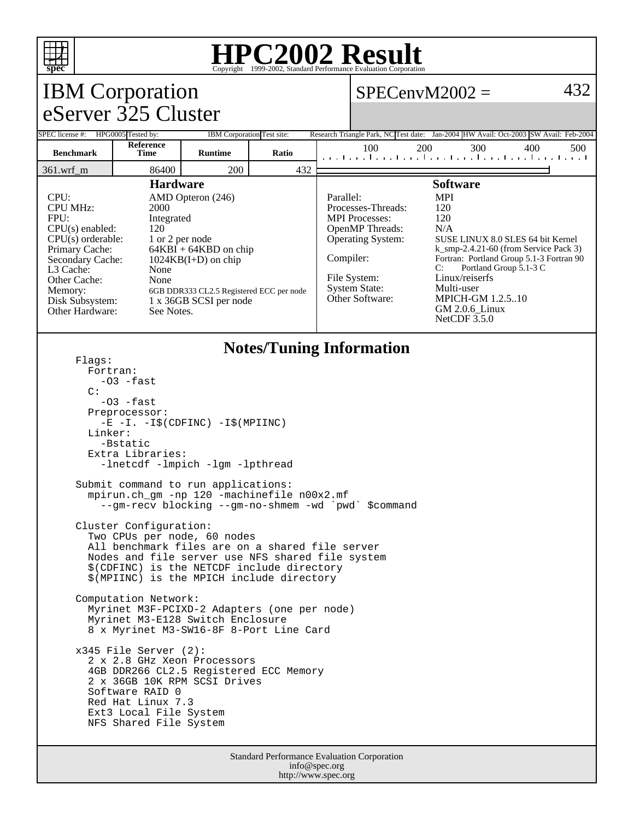

## **HPC2002 Result**

| <b>IBM</b> Corporation                                                                                                                                                                                                                                                                                                                                                                                                                         |                                                                                                                                                                                                                                                                                                             |                            |       |  | 432<br>$SPECenvM2002 =$                                                                                                                                                                                                                                                                                                                                                                                                                                                                    |     |     |     |     |  |
|------------------------------------------------------------------------------------------------------------------------------------------------------------------------------------------------------------------------------------------------------------------------------------------------------------------------------------------------------------------------------------------------------------------------------------------------|-------------------------------------------------------------------------------------------------------------------------------------------------------------------------------------------------------------------------------------------------------------------------------------------------------------|----------------------------|-------|--|--------------------------------------------------------------------------------------------------------------------------------------------------------------------------------------------------------------------------------------------------------------------------------------------------------------------------------------------------------------------------------------------------------------------------------------------------------------------------------------------|-----|-----|-----|-----|--|
| eServer 325 Cluster                                                                                                                                                                                                                                                                                                                                                                                                                            |                                                                                                                                                                                                                                                                                                             |                            |       |  |                                                                                                                                                                                                                                                                                                                                                                                                                                                                                            |     |     |     |     |  |
| SPEC license #: HPG0005 Tested by:                                                                                                                                                                                                                                                                                                                                                                                                             |                                                                                                                                                                                                                                                                                                             | IBM Corporation Test site: |       |  | Research Triangle Park, NC Test date: Jan-2004 HW Avail: Oct-2003 SW Avail: Feb-2004                                                                                                                                                                                                                                                                                                                                                                                                       |     |     |     |     |  |
| <b>Benchmark</b>                                                                                                                                                                                                                                                                                                                                                                                                                               | Reference<br>Time                                                                                                                                                                                                                                                                                           | <b>Runtime</b>             | Ratio |  | 100<br>المتما وتواجبوا وتواجه والمتواط وتواجه وأأمتوا                                                                                                                                                                                                                                                                                                                                                                                                                                      | 200 | 300 | 400 | 500 |  |
| 200<br>432<br>86400<br>361.wrf_m                                                                                                                                                                                                                                                                                                                                                                                                               |                                                                                                                                                                                                                                                                                                             |                            |       |  |                                                                                                                                                                                                                                                                                                                                                                                                                                                                                            |     |     |     |     |  |
| <b>Hardware</b><br>CPU:<br>AMD Opteron (246)<br><b>CPU MHz:</b><br>2000<br>FPII:<br>Integrated<br>CPU(s) enabled:<br>120<br>$CPU(s)$ orderable:<br>1 or 2 per node<br>Primary Cache:<br>$64KBI + 64KBD$ on chip<br>Secondary Cache:<br>$1024KB(I+D)$ on chip<br>L3 Cache:<br>None<br>None<br>Other Cache:<br>Memory:<br>6GB DDR333 CL2.5 Registered ECC per node<br>1 x 36GB SCSI per node<br>Disk Subsystem:<br>Other Hardware:<br>See Notes. |                                                                                                                                                                                                                                                                                                             |                            |       |  | <b>Software</b><br><b>MPI</b><br>Parallel:<br>Processes-Threads:<br>120<br><b>MPI</b> Processes:<br>120<br>OpenMP Threads:<br>N/A<br><b>Operating System:</b><br>SUSE LINUX 8.0 SLES 64 bit Kernel<br>$k$ _smp-2.4.21-60 (from Service Pack 3)<br>Compiler:<br>Fortran: Portland Group 5.1-3 Fortran 90<br>C:<br>Portland Group 5.1-3 C<br>Linux/reiserfs<br>File System:<br>Multi-user<br><b>System State:</b><br>Other Software:<br>MPICH-GM 1.2.510<br>GM 2.0.6_Linux<br>NetCDF $3.5.0$ |     |     |     |     |  |
| <b>Notes/Tuning Information</b><br>Flaqs:<br>Fortran:<br>-03 -fast<br>$\mathcal{C}$ :<br>$-03$ -fast<br>Preprocessor:<br>$-E$ $-I. -I\$ (CDFINC) $-I\$ (MPIINC)<br>Linker:<br>-Bstatic<br>Extra Libraries:                                                                                                                                                                                                                                     |                                                                                                                                                                                                                                                                                                             |                            |       |  |                                                                                                                                                                                                                                                                                                                                                                                                                                                                                            |     |     |     |     |  |
| -lnetcdf -lmpich -lgm -lpthread<br>Submit command to run applications:<br>mpirun.ch_gm -np 120 -machinefile n00x2.mf<br>--gm-recv blocking --gm-no-shmem -wd `pwd`<br><i>Scommand</i>                                                                                                                                                                                                                                                          |                                                                                                                                                                                                                                                                                                             |                            |       |  |                                                                                                                                                                                                                                                                                                                                                                                                                                                                                            |     |     |     |     |  |
| Cluster Configuration:<br>Two CPUs per node, 60 nodes<br>All benchmark files are on a shared file server<br>Nodes and file server use NFS shared file system<br>\$(CDFINC) is the NETCDF include directory<br>\$(MPIINC) is the MPICH include directory<br>Computation Network:<br>Myrinet M3F-PCIXD-2 Adapters (one per node)                                                                                                                 |                                                                                                                                                                                                                                                                                                             |                            |       |  |                                                                                                                                                                                                                                                                                                                                                                                                                                                                                            |     |     |     |     |  |
|                                                                                                                                                                                                                                                                                                                                                                                                                                                | Myrinet M3-E128 Switch Enclosure<br>8 x Myrinet M3-SW16-8F 8-Port Line Card<br>$x345$ File Server (2):<br>2 x 2.8 GHz Xeon Processors<br>4GB DDR266 CL2.5 Registered ECC Memory<br>2 x 36GB 10K RPM SCSI Drives<br>Software RAID 0<br>Red Hat Linux 7.3<br>Ext3 Local File System<br>NFS Shared File System |                            |       |  |                                                                                                                                                                                                                                                                                                                                                                                                                                                                                            |     |     |     |     |  |
| Standard Performance Evaluation Corporation                                                                                                                                                                                                                                                                                                                                                                                                    |                                                                                                                                                                                                                                                                                                             |                            |       |  |                                                                                                                                                                                                                                                                                                                                                                                                                                                                                            |     |     |     |     |  |

info@spec.org http://www.spec.org